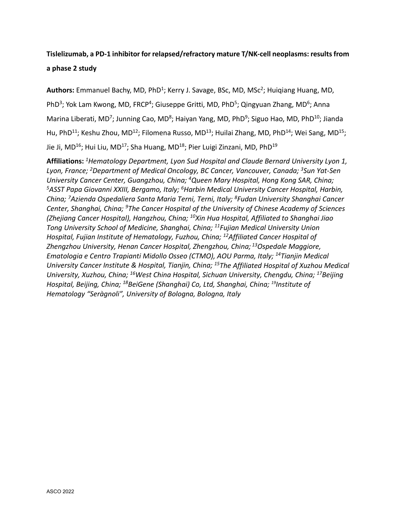## **Tislelizumab, a PD-1 inhibitor for relapsed/refractory mature T/NK-cell neoplasms: results from a phase 2 study**

Authors: Emmanuel Bachy, MD, PhD<sup>1</sup>; Kerry J. Savage, BSc, MD, MSc<sup>2</sup>; Huigiang Huang, MD, PhD<sup>3</sup>; Yok Lam Kwong, MD, FRCP<sup>4</sup>; Giuseppe Gritti, MD, PhD<sup>5</sup>; Qingyuan Zhang, MD<sup>6</sup>; Anna Marina Liberati, MD<sup>7</sup>; Junning Cao, MD<sup>8</sup>; Haiyan Yang, MD, PhD<sup>9</sup>; Siguo Hao, MD, PhD<sup>10</sup>; Jianda Hu, PhD<sup>11</sup>; Keshu Zhou, MD<sup>12</sup>; Filomena Russo, MD<sup>13</sup>; Huilai Zhang, MD, PhD<sup>14</sup>; Wei Sang, MD<sup>15</sup>; Jie Ji, MD<sup>16</sup>; Hui Liu, MD<sup>17</sup>; Sha Huang, MD<sup>18</sup>; Pier Luigi Zinzani, MD, PhD<sup>19</sup>

**Affiliations:** *1Hematology Department, Lyon Sud Hospital and Claude Bernard University Lyon 1, Lyon, France; 2Department of Medical Oncology, BC Cancer, Vancouver, Canada; 3Sun Yat-Sen University Cancer Center, Guangzhou, China; 4Queen Mary Hospital, Hong Kong SAR, China; 5ASST Papa Giovanni XXIII, Bergamo, Italy; 6Harbin Medical University Cancer Hospital, Harbin, China; 7Azienda Ospedaliera Santa Maria Terni, Terni, Italy; 8Fudan University Shanghai Cancer Center, Shanghai, China; 9The Cancer Hospital of the University of Chinese Academy of Sciences (Zhejiang Cancer Hospital), Hangzhou, China; 10Xin Hua Hospital, Affiliated to Shanghai Jiao Tong University School of Medicine, Shanghai, China; 11Fujian Medical University Union Hospital, Fujian Institute of Hematology, Fuzhou, China; 12Affiliated Cancer Hospital of Zhengzhou University, Henan Cancer Hospital, Zhengzhou, China; 13Ospedale Maggiore, Ematologia e Centro Trapianti Midollo Osseo (CTMO), AOU Parma, Italy; 14Tianjin Medical University Cancer Institute & Hospital, Tianjin, China; 15The Affiliated Hospital of Xuzhou Medical University, Xuzhou, China; 16West China Hospital, Sichuan University, Chengdu, China; 17Beijing Hospital, Beijing, China; 18BeiGene (Shanghai) Co, Ltd, Shanghai, China; 19Institute of Hematology "Seràgnoli", University of Bologna, Bologna, Italy*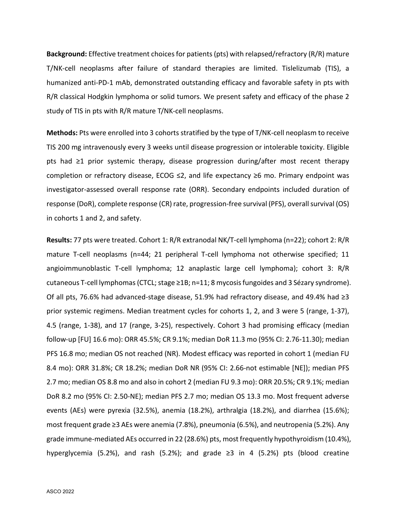**Background:** Effective treatment choices for patients (pts) with relapsed/refractory (R/R) mature T/NK-cell neoplasms after failure of standard therapies are limited. Tislelizumab (TIS), a humanized anti-PD-1 mAb, demonstrated outstanding efficacy and favorable safety in pts with R/R classical Hodgkin lymphoma or solid tumors. We present safety and efficacy of the phase 2 study of TIS in pts with R/R mature T/NK-cell neoplasms.

**Methods:** Pts were enrolled into 3 cohorts stratified by the type of T/NK-cell neoplasm to receive TIS 200 mg intravenously every 3 weeks until disease progression or intolerable toxicity. Eligible pts had ≥1 prior systemic therapy, disease progression during/after most recent therapy completion or refractory disease, ECOG ≤2, and life expectancy ≥6 mo. Primary endpoint was investigator-assessed overall response rate (ORR). Secondary endpoints included duration of response (DoR), complete response (CR) rate, progression-free survival (PFS), overall survival (OS) in cohorts 1 and 2, and safety.

**Results:** 77 pts were treated. Cohort 1: R/R extranodal NK/T-cell lymphoma (n=22); cohort 2: R/R mature T-cell neoplasms (n=44; 21 peripheral T-cell lymphoma not otherwise specified; 11 angioimmunoblastic T-cell lymphoma; 12 anaplastic large cell lymphoma); cohort 3: R/R cutaneous T-cell lymphomas (CTCL; stage  $\geq 1B$ ; n=11; 8 mycosis fungoides and 3 Sézary syndrome). Of all pts, 76.6% had advanced-stage disease, 51.9% had refractory disease, and 49.4% had ≥3 prior systemic regimens. Median treatment cycles for cohorts 1, 2, and 3 were 5 (range, 1-37), 4.5 (range, 1-38), and 17 (range, 3-25), respectively. Cohort 3 had promising efficacy (median follow-up [FU] 16.6 mo): ORR 45.5%; CR 9.1%; median DoR 11.3 mo (95% CI: 2.76-11.30); median PFS 16.8 mo; median OS not reached (NR). Modest efficacy was reported in cohort 1 (median FU 8.4 mo): ORR 31.8%; CR 18.2%; median DoR NR (95% CI: 2.66-not estimable [NE]); median PFS 2.7 mo; median OS 8.8 mo and also in cohort 2 (median FU 9.3 mo): ORR 20.5%; CR 9.1%; median DoR 8.2 mo (95% CI: 2.50-NE); median PFS 2.7 mo; median OS 13.3 mo. Most frequent adverse events (AEs) were pyrexia (32.5%), anemia (18.2%), arthralgia (18.2%), and diarrhea (15.6%); most frequent grade ≥3 AEs were anemia (7.8%), pneumonia (6.5%), and neutropenia (5.2%). Any grade immune-mediated AEs occurred in 22 (28.6%) pts, most frequently hypothyroidism (10.4%), hyperglycemia (5.2%), and rash (5.2%); and grade ≥3 in 4 (5.2%) pts (blood creatine